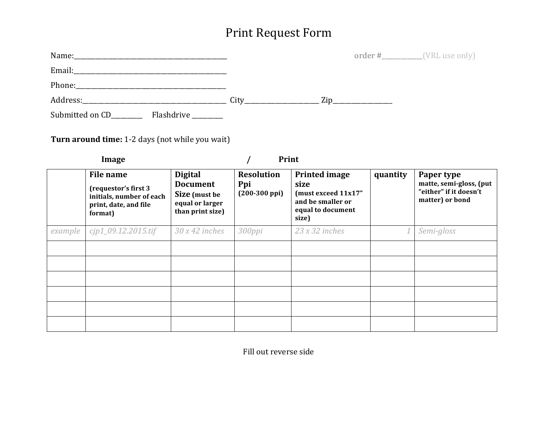## Print Request Form

| Name:                                   |      |     | order #___________(VRL use only) |  |
|-----------------------------------------|------|-----|----------------------------------|--|
| Email:                                  |      |     |                                  |  |
| Phone:                                  |      |     |                                  |  |
|                                         | City | Zip |                                  |  |
| Submitted on CD_<br>Flashdrive ________ |      |     |                                  |  |

**Turn around time:** 1-2 days (not while you wait)

| Image   |                                                                                                   |                                                                                           | Print                                               |                                                                                                        |          |                                                                                    |
|---------|---------------------------------------------------------------------------------------------------|-------------------------------------------------------------------------------------------|-----------------------------------------------------|--------------------------------------------------------------------------------------------------------|----------|------------------------------------------------------------------------------------|
|         | File name<br>(requestor's first 3<br>initials, number of each<br>print, date, and file<br>format) | <b>Digital</b><br><b>Document</b><br>Size (must be<br>equal or larger<br>than print size) | <b>Resolution</b><br>Ppi<br>$(200-300 \text{ ppi})$ | <b>Printed image</b><br>size<br>(must exceed 11x17"<br>and be smaller or<br>equal to document<br>size) | quantity | Paper type<br>matte, semi-gloss, (put<br>"either" if it doesn't<br>matter) or bond |
| example | $cip1_09.12.2015.$ tif                                                                            | $30x42$ inches                                                                            | 300ppi                                              | $23x32$ inches                                                                                         |          | Semi-gloss                                                                         |
|         |                                                                                                   |                                                                                           |                                                     |                                                                                                        |          |                                                                                    |
|         |                                                                                                   |                                                                                           |                                                     |                                                                                                        |          |                                                                                    |
|         |                                                                                                   |                                                                                           |                                                     |                                                                                                        |          |                                                                                    |
|         |                                                                                                   |                                                                                           |                                                     |                                                                                                        |          |                                                                                    |
|         |                                                                                                   |                                                                                           |                                                     |                                                                                                        |          |                                                                                    |
|         |                                                                                                   |                                                                                           |                                                     |                                                                                                        |          |                                                                                    |

Fill out reverse side